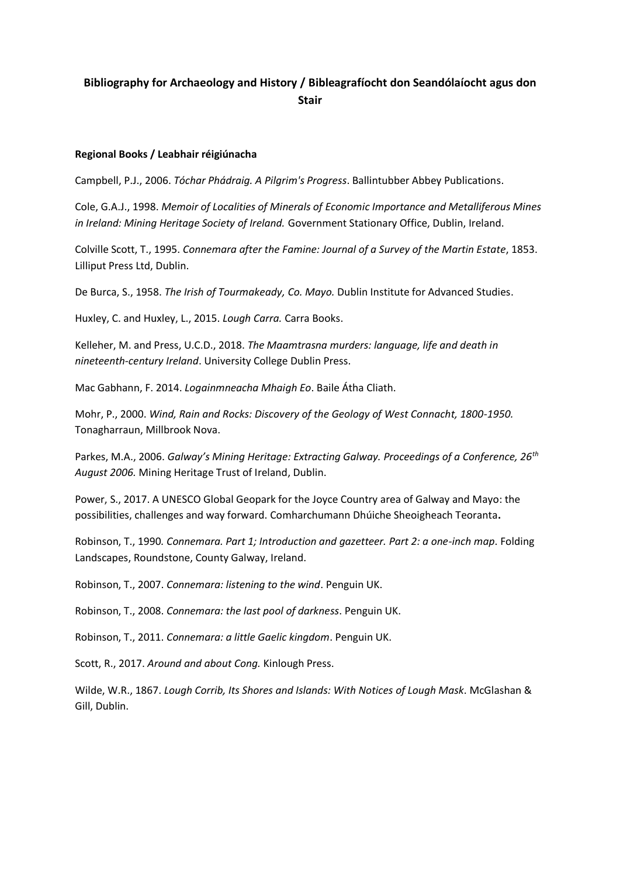## **Bibliography for Archaeology and History / Bibleagrafíocht don Seandólaíocht agus don Stair**

## **Regional Books / Leabhair réigiúnacha**

Campbell, P.J., 2006. *Tóchar Phádraig. A Pilgrim's Progress*. Ballintubber Abbey Publications.

Cole, G.A.J., 1998. *Memoir of Localities of Minerals of Economic Importance and Metalliferous Mines in Ireland: Mining Heritage Society of Ireland.* Government Stationary Office, Dublin, Ireland.

Colville Scott, T., 1995. *Connemara after the Famine: Journal of a Survey of the Martin Estate*, 1853. Lilliput Press Ltd, Dublin.

De Burca, S., 1958. *The Irish of Tourmakeady, Co. Mayo.* Dublin Institute for Advanced Studies.

Huxley, C. and Huxley, L., 2015. *Lough Carra.* Carra Books.

Kelleher, M. and Press, U.C.D., 2018. *The Maamtrasna murders: language, life and death in nineteenth-century Ireland*. University College Dublin Press.

Mac Gabhann, F. 2014. *Logainmneacha Mhaigh Eo*. Baile Átha Cliath.

Mohr, P., 2000. *Wind, Rain and Rocks: Discovery of the Geology of West Connacht, 1800-1950.* Tonagharraun, Millbrook Nova.

Parkes, M.A., 2006. *Galway's Mining Heritage: Extracting Galway. Proceedings of a Conference, 26th August 2006.* Mining Heritage Trust of Ireland, Dublin.

Power, S., 2017. A UNESCO Global Geopark for the Joyce Country area of Galway and Mayo: the possibilities, challenges and way forward. Comharchumann Dhúiche Sheoigheach Teoranta**.**

Robinson, T., 1990*. Connemara. Part 1; Introduction and gazetteer. Part 2: a one-inch map*. Folding Landscapes, Roundstone, County Galway, Ireland.

Robinson, T., 2007. *Connemara: listening to the wind*. Penguin UK.

Robinson, T., 2008. *Connemara: the last pool of darkness*. Penguin UK.

Robinson, T., 2011. *Connemara: a little Gaelic kingdom*. Penguin UK.

Scott, R., 2017. *Around and about Cong.* Kinlough Press.

Wilde, W.R., 1867. *Lough Corrib, Its Shores and Islands: With Notices of Lough Mask*. McGlashan & Gill, Dublin.